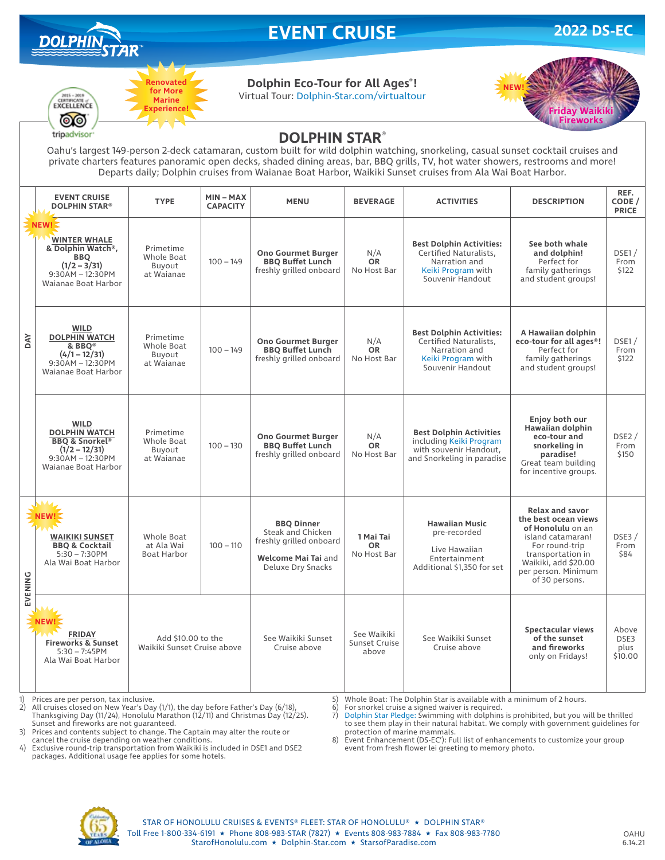

# **EVENT CRUISE 2022 DS-EC**



### **Dolphin Eco-Tour for All Ages® !**

Virtual Tour: Dolphin-Star.com/virtualtour



## $\odot$ tripadvisor<sup>®</sup>

 $2015 - 20$ 

**DOLPHIN STAR**®

Oahu's largest 149-person 2-deck catamaran, custom built for wild dolphin watching, snorkeling, casual sunset cocktail cruises and private charters features panoramic open decks, shaded dining areas, bar, BBQ grills, TV, hot water showers, restrooms and more! Departs daily; Dolphin cruises from Waianae Boat Harbor, Waikiki Sunset cruises from Ala Wai Boat Harbor.

|            | <b>EVENT CRUISE</b><br><b>DOLPHIN STAR®</b>                                                                                      | <b>TYPE</b>                                       | $MIN - MAX$<br><b>CAPACITY</b> | <b>MENU</b>                                                                                                   | <b>BEVERAGE</b>                       | <b>ACTIVITIES</b>                                                                                                    | <b>DESCRIPTION</b>                                                                                                                                                                               | REF.<br>CODE /<br><b>PRICE</b>   |
|------------|----------------------------------------------------------------------------------------------------------------------------------|---------------------------------------------------|--------------------------------|---------------------------------------------------------------------------------------------------------------|---------------------------------------|----------------------------------------------------------------------------------------------------------------------|--------------------------------------------------------------------------------------------------------------------------------------------------------------------------------------------------|----------------------------------|
| <b>DAY</b> | NEW!<br><b>WINTER WHALE</b><br>& Dolphin Watch®,<br><b>BBO</b><br>$(1/2 - 3/31)$<br>$9:30AM - 12:30PM$<br>Waianae Boat Harbor    | Primetime<br>Whole Boat<br>Buvout<br>at Waianae   | $100 - 149$                    | <b>Ono Gourmet Burger</b><br><b>BBQ Buffet Lunch</b><br>freshly grilled onboard                               | N/A<br><b>OR</b><br>No Host Bar       | <b>Best Dolphin Activities:</b><br>Certified Naturalists,<br>Narration and<br>Keiki Program with<br>Souvenir Handout | See both whale<br>and dolphin!<br>Perfect for<br>family gatherings<br>and student groups!                                                                                                        | DSE1/<br>From<br>\$122           |
|            | <b>WILD</b><br><b>DOLPHIN WATCH</b><br>& BBQ <sup>®</sup><br>$(4/1 - 12/31)$<br>$9:30AM - 12:30PM$<br>Waianae Boat Harbor        | Primetime<br>Whole Boat<br>Buyout<br>at Waianae   | $100 - 149$                    | <b>Ono Gourmet Burger</b><br><b>BBQ Buffet Lunch</b><br>freshly grilled onboard                               | N/A<br><b>OR</b><br>No Host Bar       | <b>Best Dolphin Activities:</b><br>Certified Naturalists,<br>Narration and<br>Keiki Program with<br>Souvenir Handout | A Hawaiian dolphin<br>eco-tour for all ages <sup>®</sup> !<br>Perfect for<br>family gatherings<br>and student groups!                                                                            | DSE1/<br>From<br>\$122           |
|            | <b>WILD</b><br><b>DOLPHIN WATCH</b><br><b>BBQ &amp; Snorkel®</b><br>$(1/2 - 12/31)$<br>$9:30AM - 12:30PM$<br>Waianae Boat Harbor | Primetime<br>Whole Boat<br>Buvout<br>at Waianae   | $100 - 130$                    | <b>Ono Gourmet Burger</b><br><b>BBQ Buffet Lunch</b><br>freshly grilled onboard                               | N/A<br><b>OR</b><br>No Host Bar       | <b>Best Dolphin Activities</b><br>including Keiki Program<br>with souvenir Handout.<br>and Snorkeling in paradise    | Enjoy both our<br>Hawaiian dolphin<br>eco-tour and<br>snorkeling in<br>paradise!<br>Great team building<br>for incentive groups.                                                                 | DSE2/<br>From<br>\$150           |
| EVENING    | -14<br>NEW!<br><b>WAIKIKI SUNSET</b><br><b>BBQ &amp; Cocktail</b><br>$5:30 - 7:30$ PM<br>Ala Wai Boat Harbor                     | Whole Boat<br>at Ala Wai<br><b>Boat Harbor</b>    | $100 - 110$                    | <b>BBQ Dinner</b><br>Steak and Chicken<br>freshly grilled onboard<br>Welcome Mai Tai and<br>Deluxe Dry Snacks | 1 Mai Tai<br><b>OR</b><br>No Host Bar | <b>Hawaiian Music</b><br>pre-recorded<br>Live Hawaiian<br>Entertainment<br>Additional \$1,350 for set                | <b>Relax and savor</b><br>the best ocean views<br>of Honolulu on an<br>island catamaran!<br>For round-trip<br>transportation in<br>Waikiki, add \$20.00<br>per person. Minimum<br>of 30 persons. | DSE3/<br>From<br>\$84            |
|            | <b>NEW!</b><br><b>FRIDAY</b><br><b>Fireworks &amp; Sunset</b><br>$5:30 - 7:45$ PM<br>Ala Wai Boat Harbor                         | Add \$10,00 to the<br>Waikiki Sunset Cruise above |                                | See Waikiki Sunset<br>Cruise above                                                                            | See Waikiki<br>Sunset Cruise<br>above | See Waikiki Sunset<br>Cruise above                                                                                   | Spectacular views<br>of the sunset<br>and fireworks<br>only on Fridays!                                                                                                                          | Above<br>DSE3<br>plus<br>\$10.00 |

1) Prices are per person, tax inclusive.<br>2) All cruises closed on New Year's Day

2) All cruises closed on New Year's Day (1/1), the day before Father's Day (6/18), Thanksgiving Day (11/24), Honolulu Marathon (12/11) and Christmas Day (12/25). Sunset and fireworks are not guaranteed.

3) Prices and contents subject to change. The Captain may alter the route or cancel the cruise depending on weather conditions.

4) Exclusive round-trip transportation from Waikiki is included in DSE1 and DSE2

packages. Additional usage fee applies for some hotels.

5) Whole Boat: The Dolphin Star is available with a minimum of 2 hours.<br>6) For snorkel cruise a signed waiver is required.

6) For snorkel cruise a signed waiver is required.<br>
7) Dolphin Star Pledge: Swimming with dolphins

7) Dolphin Star Pledge: Swimming with dolphins is prohibited, but you will be thrilled to see them play in their natural habitat. We comply with government guidelines for protection of marine mammals.

8) Event Enhancement (DS-EC'): Full list of enhancements to customize your group event from fresh flower lei greeting to memory photo.